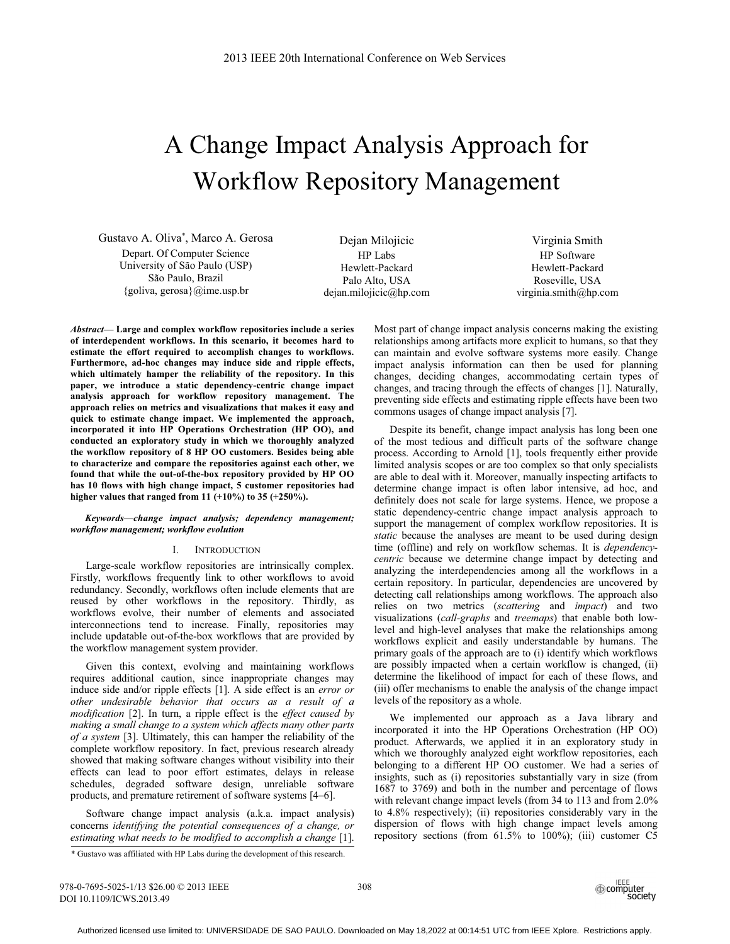# A Change Impact Analysis Approach for Workflow Repository Management

Gustavo A. Oliva\* , Marco A. Gerosa Depart. Of Computer Science University of São Paulo (USP) São Paulo, Brazil {goliva, gerosa}@ime.usp.br

Dejan Milojicic HP Labs Hewlett-Packard Palo Alto, USA dejan.milojicic@hp.com

Virginia Smith HP Software Hewlett-Packard Roseville, USA virginia.smith@hp.com

*Abstract***— Large and complex workflow repositories include a series of interdependent workflows. In this scenario, it becomes hard to estimate the effort required to accomplish changes to workflows. Furthermore, ad-hoc changes may induce side and ripple effects, which ultimately hamper the reliability of the repository. In this paper, we introduce a static dependency-centric change impact analysis approach for workflow repository management. The approach relies on metrics and visualizations that makes it easy and quick to estimate change impact. We implemented the approach, incorporated it into HP Operations Orchestration (HP OO), and conducted an exploratory study in which we thoroughly analyzed the workflow repository of 8 HP OO customers. Besides being able to characterize and compare the repositories against each other, we found that while the out-of-the-box repository provided by HP OO has 10 flows with high change impact, 5 customer repositories had higher values that ranged from 11 (+10%) to 35 (+250%).**

#### *Keywords—change impact analysis; dependency management; workflow management; workflow evolution*

#### I. INTRODUCTION

Large-scale workflow repositories are intrinsically complex. Firstly, workflows frequently link to other workflows to avoid redundancy. Secondly, workflows often include elements that are reused by other workflows in the repository. Thirdly, as workflows evolve, their number of elements and associated interconnections tend to increase. Finally, repositories may include updatable out-of-the-box workflows that are provided by the workflow management system provider.

Given this context, evolving and maintaining workflows requires additional caution, since inappropriate changes may induce side and/or ripple effects [1]. A side effect is an *error or other undesirable behavior that occurs as a result of a modification* [2]. In turn, a ripple effect is the *effect caused by making a small change to a system which affects many other parts of a system* [3]. Ultimately, this can hamper the reliability of the complete workflow repository. In fact, previous research already showed that making software changes without visibility into their effects can lead to poor effort estimates, delays in release schedules, degraded software design, unreliable software products, and premature retirement of software systems [4–6].

Software change impact analysis (a.k.a. impact analysis) concerns *identifying the potential consequences of a change, or estimating what needs to be modified to accomplish a change* [1]. Most part of change impact analysis concerns making the existing relationships among artifacts more explicit to humans, so that they can maintain and evolve software systems more easily. Change impact analysis information can then be used for planning changes, deciding changes, accommodating certain types of changes, and tracing through the effects of changes [1]. Naturally, preventing side effects and estimating ripple effects have been two commons usages of change impact analysis [7].

Despite its benefit, change impact analysis has long been one of the most tedious and difficult parts of the software change process. According to Arnold [1], tools frequently either provide limited analysis scopes or are too complex so that only specialists are able to deal with it. Moreover, manually inspecting artifacts to determine change impact is often labor intensive, ad hoc, and definitely does not scale for large systems. Hence, we propose a static dependency-centric change impact analysis approach to support the management of complex workflow repositories. It is *static* because the analyses are meant to be used during design time (offline) and rely on workflow schemas. It is *dependencycentric* because we determine change impact by detecting and analyzing the interdependencies among all the workflows in a certain repository. In particular, dependencies are uncovered by detecting call relationships among workflows. The approach also relies on two metrics (*scattering* and *impact*) and two visualizations (*call-graphs* and *treemaps*) that enable both lowlevel and high-level analyses that make the relationships among workflows explicit and easily understandable by humans. The primary goals of the approach are to (i) identify which workflows are possibly impacted when a certain workflow is changed, (ii) determine the likelihood of impact for each of these flows, and (iii) offer mechanisms to enable the analysis of the change impact levels of the repository as a whole.

We implemented our approach as a Java library and incorporated it into the HP Operations Orchestration (HP OO) product. Afterwards, we applied it in an exploratory study in which we thoroughly analyzed eight workflow repositories, each belonging to a different HP OO customer. We had a series of insights, such as (i) repositories substantially vary in size (from 1687 to 3769) and both in the number and percentage of flows with relevant change impact levels (from 34 to 113 and from 2.0% to 4.8% respectively); (ii) repositories considerably vary in the dispersion of flows with high change impact levels among repository sections (from 61.5% to 100%); (iii) customer C5

978-0-7695-5025-1/13 \$26.00 © 2013 IEEE DOI 10.1109/ICWS.2013.49

308



<sup>\*</sup> Gustavo was affiliated with HP Labs during the development of this research.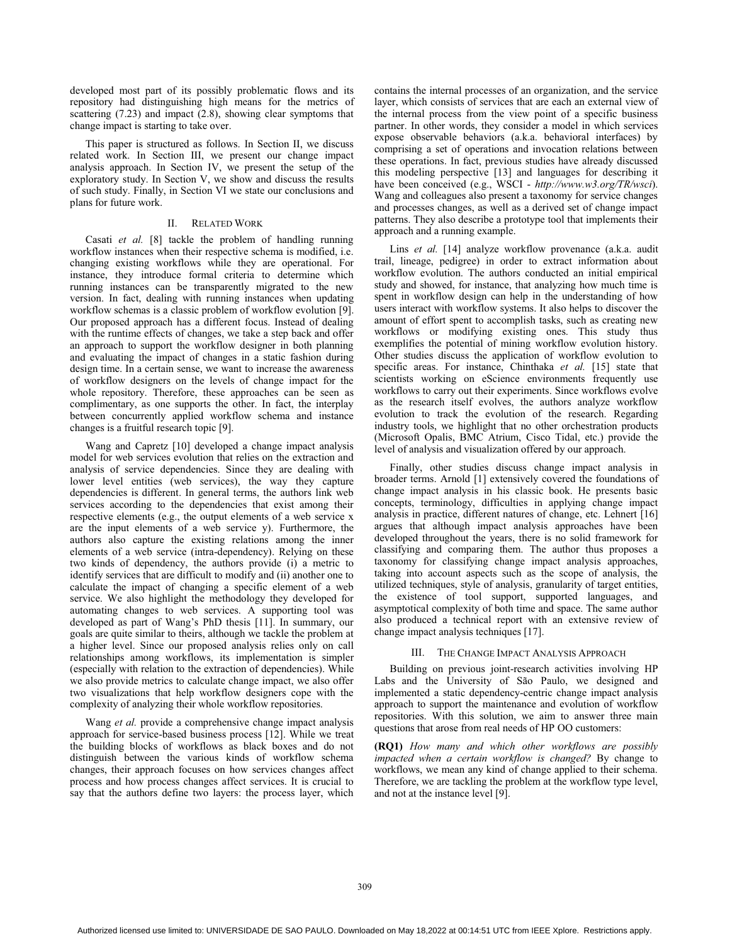developed most part of its possibly problematic flows and its repository had distinguishing high means for the metrics of scattering (7.23) and impact (2.8), showing clear symptoms that change impact is starting to take over.

This paper is structured as follows. In Section II, we discuss related work. In Section III, we present our change impact analysis approach. In Section IV, we present the setup of the exploratory study. In Section V, we show and discuss the results of such study. Finally, in Section VI we state our conclusions and plans for future work.

## II. RELATED WORK

Casati *et al.* [8] tackle the problem of handling running workflow instances when their respective schema is modified, i.e. changing existing workflows while they are operational. For instance, they introduce formal criteria to determine which running instances can be transparently migrated to the new version. In fact, dealing with running instances when updating workflow schemas is a classic problem of workflow evolution [9]. Our proposed approach has a different focus. Instead of dealing with the runtime effects of changes, we take a step back and offer an approach to support the workflow designer in both planning and evaluating the impact of changes in a static fashion during design time. In a certain sense, we want to increase the awareness of workflow designers on the levels of change impact for the whole repository. Therefore, these approaches can be seen as complimentary, as one supports the other. In fact, the interplay between concurrently applied workflow schema and instance changes is a fruitful research topic [9].

Wang and Capretz [10] developed a change impact analysis model for web services evolution that relies on the extraction and analysis of service dependencies. Since they are dealing with lower level entities (web services), the way they capture dependencies is different. In general terms, the authors link web services according to the dependencies that exist among their respective elements (e.g., the output elements of a web service x are the input elements of a web service y). Furthermore, the authors also capture the existing relations among the inner elements of a web service (intra-dependency). Relying on these two kinds of dependency, the authors provide (i) a metric to identify services that are difficult to modify and (ii) another one to calculate the impact of changing a specific element of a web service. We also highlight the methodology they developed for automating changes to web services. A supporting tool was developed as part of Wang's PhD thesis [11]. In summary, our goals are quite similar to theirs, although we tackle the problem at a higher level. Since our proposed analysis relies only on call relationships among workflows, its implementation is simpler (especially with relation to the extraction of dependencies). While we also provide metrics to calculate change impact, we also offer two visualizations that help workflow designers cope with the complexity of analyzing their whole workflow repositories.

Wang *et al.* provide a comprehensive change impact analysis approach for service-based business process [12]. While we treat the building blocks of workflows as black boxes and do not distinguish between the various kinds of workflow schema changes, their approach focuses on how services changes affect process and how process changes affect services. It is crucial to say that the authors define two layers: the process layer, which contains the internal processes of an organization, and the service layer, which consists of services that are each an external view of the internal process from the view point of a specific business partner. In other words, they consider a model in which services expose observable behaviors (a.k.a. behavioral interfaces) by comprising a set of operations and invocation relations between these operations. In fact, previous studies have already discussed this modeling perspective [13] and languages for describing it have been conceived (e.g., WSCI - *http://www.w3.org/TR/wsci*). Wang and colleagues also present a taxonomy for service changes and processes changes, as well as a derived set of change impact patterns. They also describe a prototype tool that implements their approach and a running example.

Lins *et al.* [14] analyze workflow provenance (a.k.a. audit trail, lineage, pedigree) in order to extract information about workflow evolution. The authors conducted an initial empirical study and showed, for instance, that analyzing how much time is spent in workflow design can help in the understanding of how users interact with workflow systems. It also helps to discover the amount of effort spent to accomplish tasks, such as creating new workflows or modifying existing ones. This study thus exemplifies the potential of mining workflow evolution history. Other studies discuss the application of workflow evolution to specific areas. For instance, Chinthaka *et al.* [15] state that scientists working on eScience environments frequently use workflows to carry out their experiments. Since workflows evolve as the research itself evolves, the authors analyze workflow evolution to track the evolution of the research. Regarding industry tools, we highlight that no other orchestration products (Microsoft Opalis, BMC Atrium, Cisco Tidal, etc.) provide the level of analysis and visualization offered by our approach.

Finally, other studies discuss change impact analysis in broader terms. Arnold [1] extensively covered the foundations of change impact analysis in his classic book. He presents basic concepts, terminology, difficulties in applying change impact analysis in practice, different natures of change, etc. Lehnert [16] argues that although impact analysis approaches have been developed throughout the years, there is no solid framework for classifying and comparing them. The author thus proposes a taxonomy for classifying change impact analysis approaches, taking into account aspects such as the scope of analysis, the utilized techniques, style of analysis, granularity of target entities, the existence of tool support, supported languages, and asymptotical complexity of both time and space. The same author also produced a technical report with an extensive review of change impact analysis techniques [17].

### III. THE CHANGE IMPACT ANALYSIS APPROACH

Building on previous joint-research activities involving HP Labs and the University of São Paulo, we designed and implemented a static dependency-centric change impact analysis approach to support the maintenance and evolution of workflow repositories. With this solution, we aim to answer three main questions that arose from real needs of HP OO customers:

**(RQ1)** *How many and which other workflows are possibly impacted when a certain workflow is changed?* By change to workflows, we mean any kind of change applied to their schema. Therefore, we are tackling the problem at the workflow type level, and not at the instance level [9].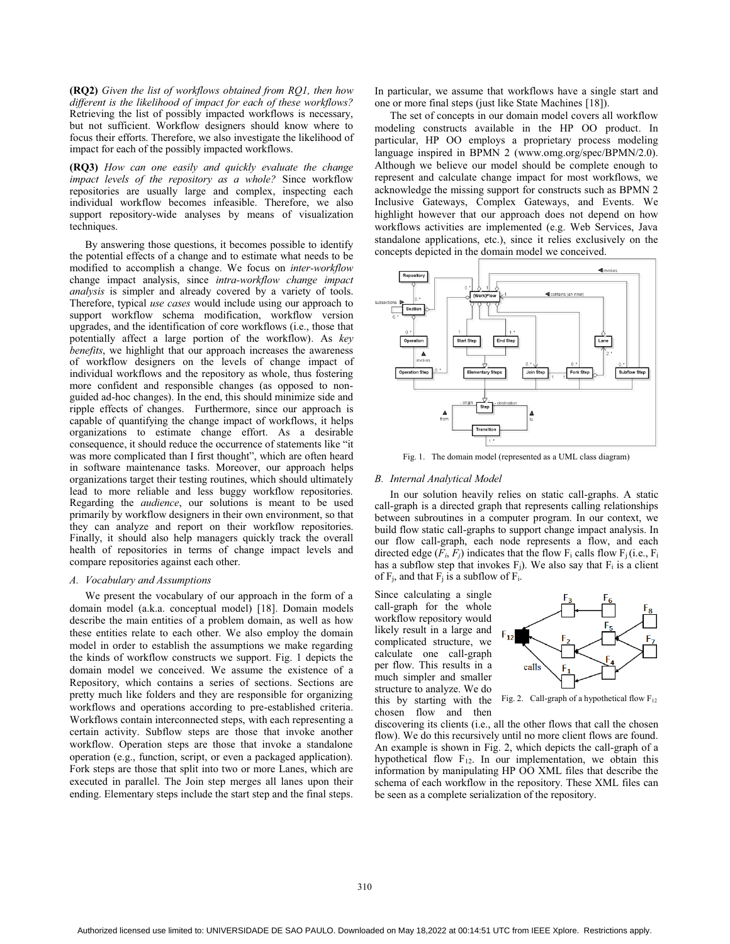**(RQ2)** *Given the list of workflows obtained from RQ1, then how different is the likelihood of impact for each of these workflows?* Retrieving the list of possibly impacted workflows is necessary, but not sufficient. Workflow designers should know where to focus their efforts. Therefore, we also investigate the likelihood of impact for each of the possibly impacted workflows.

**(RQ3)** *How can one easily and quickly evaluate the change impact levels of the repository as a whole?* Since workflow repositories are usually large and complex, inspecting each individual workflow becomes infeasible. Therefore, we also support repository-wide analyses by means of visualization techniques.

By answering those questions, it becomes possible to identify the potential effects of a change and to estimate what needs to be modified to accomplish a change. We focus on *inter-workflow* change impact analysis, since *intra-workflow change impact analysis* is simpler and already covered by a variety of tools. Therefore, typical *use cases* would include using our approach to support workflow schema modification, workflow version upgrades, and the identification of core workflows (i.e., those that potentially affect a large portion of the workflow). As *key benefits*, we highlight that our approach increases the awareness of workflow designers on the levels of change impact of individual workflows and the repository as whole, thus fostering more confident and responsible changes (as opposed to nonguided ad-hoc changes). In the end, this should minimize side and ripple effects of changes. Furthermore, since our approach is capable of quantifying the change impact of workflows, it helps organizations to estimate change effort. As a desirable consequence, it should reduce the occurrence of statements like "it was more complicated than I first thought", which are often heard in software maintenance tasks. Moreover, our approach helps organizations target their testing routines, which should ultimately lead to more reliable and less buggy workflow repositories. Regarding the *audience*, our solutions is meant to be used primarily by workflow designers in their own environment, so that they can analyze and report on their workflow repositories. Finally, it should also help managers quickly track the overall health of repositories in terms of change impact levels and compare repositories against each other.

#### *A. Vocabulary and Assumptions*

We present the vocabulary of our approach in the form of a domain model (a.k.a. conceptual model) [18]. Domain models describe the main entities of a problem domain, as well as how these entities relate to each other. We also employ the domain model in order to establish the assumptions we make regarding the kinds of workflow constructs we support. Fig. 1 depicts the domain model we conceived. We assume the existence of a Repository, which contains a series of sections. Sections are pretty much like folders and they are responsible for organizing workflows and operations according to pre-established criteria. Workflows contain interconnected steps, with each representing a certain activity. Subflow steps are those that invoke another workflow. Operation steps are those that invoke a standalone operation (e.g., function, script, or even a packaged application). Fork steps are those that split into two or more Lanes, which are executed in parallel. The Join step merges all lanes upon their ending. Elementary steps include the start step and the final steps.

In particular, we assume that workflows have a single start and one or more final steps (just like State Machines [18]).

The set of concepts in our domain model covers all workflow modeling constructs available in the HP OO product. In particular, HP OO employs a proprietary process modeling language inspired in BPMN 2 (www.omg.org/spec/BPMN/2.0). Although we believe our model should be complete enough to represent and calculate change impact for most workflows, we acknowledge the missing support for constructs such as BPMN 2 Inclusive Gateways, Complex Gateways, and Events. We highlight however that our approach does not depend on how workflows activities are implemented (e.g. Web Services, Java standalone applications, etc.), since it relies exclusively on the concepts depicted in the domain model we conceived.



Fig. 1. The domain model (represented as a UML class diagram)

#### *B. Internal Analytical Model*

In our solution heavily relies on static call-graphs. A static call-graph is a directed graph that represents calling relationships between subroutines in a computer program. In our context, we build flow static call-graphs to support change impact analysis. In our flow call-graph, each node represents a flow, and each directed edge  $(F_i, F_j)$  indicates that the flow  $F_i$  calls flow  $F_i$  (i.e.,  $F_i$ ) has a subflow step that invokes  $F_i$ ). We also say that  $F_i$  is a client of  $F_i$ , and that  $F_i$  is a subflow of  $F_i$ .

Since calculating a single call-graph for the whole workflow repository would likely result in a large and complicated structure, we calculate one call-graph per flow. This results in a much simpler and smaller structure to analyze. We do chosen flow and then



this by starting with the Fig. 2. Call-graph of a hypothetical flow  $F_{12}$ 

discovering its clients (i.e., all the other flows that call the chosen flow). We do this recursively until no more client flows are found. An example is shown in Fig. 2, which depicts the call-graph of a hypothetical flow  $F_{12}$ . In our implementation, we obtain this information by manipulating HP OO XML files that describe the schema of each workflow in the repository. These XML files can be seen as a complete serialization of the repository.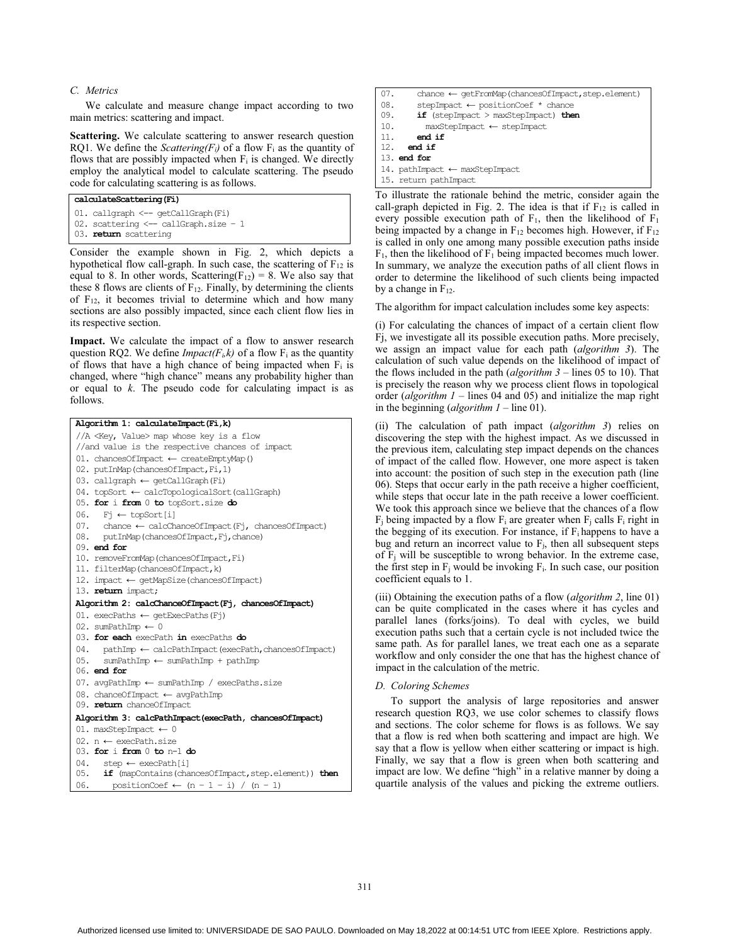#### *C. Metrics*

We calculate and measure change impact according to two main metrics: scattering and impact.

**Scattering.** We calculate scattering to answer research question RQ1. We define the *Scattering* $(F_i)$  of a flow  $F_i$  as the quantity of flows that are possibly impacted when  $F_i$  is changed. We directly employ the analytical model to calculate scattering. The pseudo code for calculating scattering is as follows.

| calculateScattering(Fi)                                                                                       |  |  |  |  |  |  |
|---------------------------------------------------------------------------------------------------------------|--|--|--|--|--|--|
| 01. callgraph <-- getCallGraph(Fi)<br>02. scattering $\leftarrow$ callGraph.size - 1<br>03. return scattering |  |  |  |  |  |  |

Consider the example shown in Fig. 2, which depicts a hypothetical flow call-graph. In such case, the scattering of  $F_{12}$  is equal to 8. In other words, Scattering( $F_{12}$ ) = 8. We also say that these 8 flows are clients of  $F_{12}$ . Finally, by determining the clients of  $F_{12}$ , it becomes trivial to determine which and how many sections are also possibly impacted, since each client flow lies in its respective section.

**Impact.** We calculate the impact of a flow to answer research question RQ2. We define  $Impect(F_i, k)$  of a flow  $F_i$  as the quantity of flows that have a high chance of being impacted when  $F_i$  is changed, where "high chance" means any probability higher than or equal to *k*. The pseudo code for calculating impact is as follows.



| 07.           | $chance \leftarrow getFromMap(chancesOfImport, step. element)$ |
|---------------|----------------------------------------------------------------|
| 08.           | stepImpact $\leftarrow$ positionCoef $*$ chance                |
| 09.           | $if$ (stepImpact > maxStepImpact) $then$                       |
| 10.           | $maxStepImage \leftarrow stepImage$                            |
| 11.           | end if                                                         |
| 12.           | end if                                                         |
| $13.$ end for |                                                                |
|               | 14. pathImpact $\leftarrow$ maxStepImpact                      |
|               | 15. return pathImpact                                          |

To illustrate the rationale behind the metric, consider again the call-graph depicted in Fig. 2. The idea is that if  $F_{12}$  is called in every possible execution path of  $F_1$ , then the likelihood of  $F_1$ being impacted by a change in  $F_{12}$  becomes high. However, if  $F_{12}$ is called in only one among many possible execution paths inside  $F_1$ , then the likelihood of  $F_1$  being impacted becomes much lower. In summary, we analyze the execution paths of all client flows in order to determine the likelihood of such clients being impacted by a change in  $F_{12}$ .

The algorithm for impact calculation includes some key aspects:

(i) For calculating the chances of impact of a certain client flow Fj, we investigate all its possible execution paths. More precisely, we assign an impact value for each path (*algorithm 3*). The calculation of such value depends on the likelihood of impact of the flows included in the path (*algorithm 3* – lines 05 to 10). That is precisely the reason why we process client flows in topological order (*algorithm 1* – lines 04 and 05) and initialize the map right in the beginning (*algorithm 1* – line 01).

(ii) The calculation of path impact (*algorithm 3*) relies on discovering the step with the highest impact. As we discussed in the previous item, calculating step impact depends on the chances of impact of the called flow. However, one more aspect is taken into account: the position of such step in the execution path (line 06). Steps that occur early in the path receive a higher coefficient, while steps that occur late in the path receive a lower coefficient. We took this approach since we believe that the chances of a flow  $F_i$  being impacted by a flow  $F_i$  are greater when  $F_i$  calls  $F_i$  right in the begging of its execution. For instance, if  $F_i$  happens to have a bug and return an incorrect value to  $F_i$ , then all subsequent steps of  $F_i$  will be susceptible to wrong behavior. In the extreme case, the first step in  $F_i$  would be invoking  $F_i$ . In such case, our position coefficient equals to 1.

(iii) Obtaining the execution paths of a flow (*algorithm 2*, line 01) can be quite complicated in the cases where it has cycles and parallel lanes (forks/joins). To deal with cycles, we build execution paths such that a certain cycle is not included twice the same path. As for parallel lanes, we treat each one as a separate workflow and only consider the one that has the highest chance of impact in the calculation of the metric.

## *D. Coloring Schemes*

To support the analysis of large repositories and answer research question RQ3, we use color schemes to classify flows and sections. The color scheme for flows is as follows. We say that a flow is red when both scattering and impact are high. We say that a flow is yellow when either scattering or impact is high. Finally, we say that a flow is green when both scattering and impact are low. We define "high" in a relative manner by doing a quartile analysis of the values and picking the extreme outliers.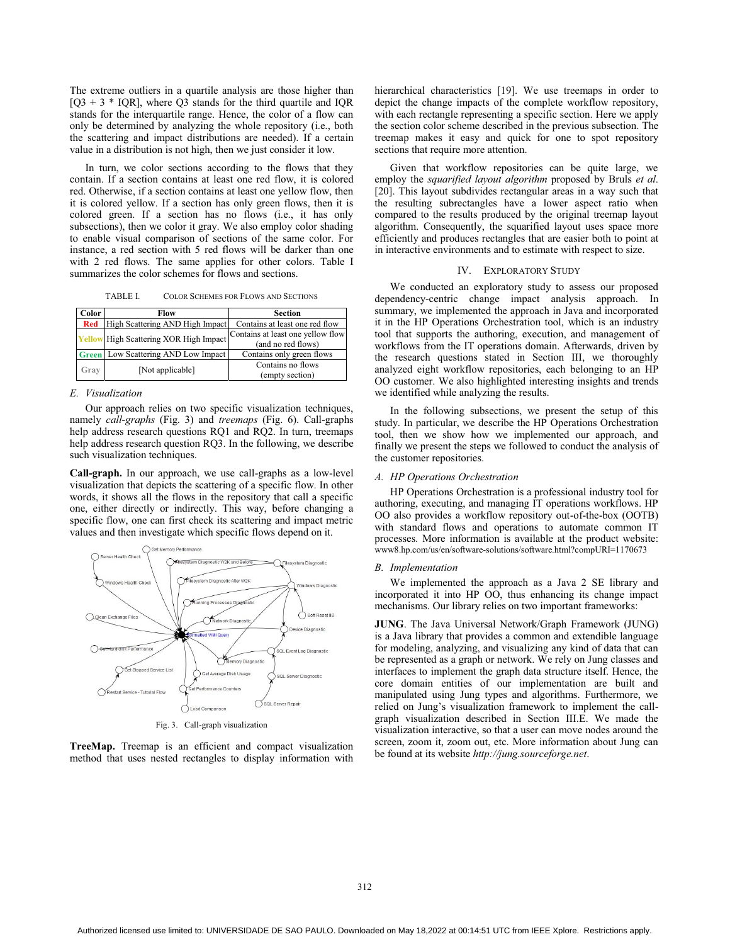The extreme outliers in a quartile analysis are those higher than  $[Q3 + 3 * IQR]$ , where Q3 stands for the third quartile and IQR stands for the interquartile range. Hence, the color of a flow can only be determined by analyzing the whole repository (i.e., both the scattering and impact distributions are needed). If a certain value in a distribution is not high, then we just consider it low.

In turn, we color sections according to the flows that they contain. If a section contains at least one red flow, it is colored red. Otherwise, if a section contains at least one yellow flow, then it is colored yellow. If a section has only green flows, then it is colored green. If a section has no flows (i.e., it has only subsections), then we color it gray. We also employ color shading to enable visual comparison of sections of the same color. For instance, a red section with 5 red flows will be darker than one with 2 red flows. The same applies for other colors. Table I summarizes the color schemes for flows and sections.

TABLE I. COLOR SCHEMES FOR FLOWS AND SECTIONS

| Color      | Flow                                          | <b>Section</b>                                          |  |  |  |  |  |
|------------|-----------------------------------------------|---------------------------------------------------------|--|--|--|--|--|
| <b>Red</b> | High Scattering AND High Impact               | Contains at least one red flow                          |  |  |  |  |  |
|            | <b>Yellow</b> High Scattering XOR High Impact | Contains at least one yellow flow<br>(and no red flows) |  |  |  |  |  |
|            | <b>Green</b> Low Scattering AND Low Impact    | Contains only green flows                               |  |  |  |  |  |
| Gray       | [Not applicable]                              | Contains no flows<br>(empty section)                    |  |  |  |  |  |

## *E. Visualization*

Our approach relies on two specific visualization techniques, namely *call-graphs* (Fig. 3) and *treemaps* (Fig. 6). Call-graphs help address research questions RQ1 and RQ2. In turn, treemaps help address research question RQ3. In the following, we describe such visualization techniques.

**Call-graph.** In our approach, we use call-graphs as a low-level visualization that depicts the scattering of a specific flow. In other words, it shows all the flows in the repository that call a specific one, either directly or indirectly. This way, before changing a specific flow, one can first check its scattering and impact metric values and then investigate which specific flows depend on it.



Fig. 3. Call-graph visualization

**TreeMap.** Treemap is an efficient and compact visualization method that uses nested rectangles to display information with hierarchical characteristics [19]. We use treemaps in order to depict the change impacts of the complete workflow repository, with each rectangle representing a specific section. Here we apply the section color scheme described in the previous subsection. The treemap makes it easy and quick for one to spot repository sections that require more attention.

Given that workflow repositories can be quite large, we employ the *squarified layout algorithm* proposed by Bruls *et al*. [20]. This layout subdivides rectangular areas in a way such that the resulting subrectangles have a lower aspect ratio when compared to the results produced by the original treemap layout algorithm. Consequently, the squarified layout uses space more efficiently and produces rectangles that are easier both to point at in interactive environments and to estimate with respect to size.

#### IV. EXPLORATORY STUDY

We conducted an exploratory study to assess our proposed dependency-centric change impact analysis approach. In summary, we implemented the approach in Java and incorporated it in the HP Operations Orchestration tool, which is an industry tool that supports the authoring, execution, and management of workflows from the IT operations domain. Afterwards, driven by the research questions stated in Section III, we thoroughly analyzed eight workflow repositories, each belonging to an HP OO customer. We also highlighted interesting insights and trends we identified while analyzing the results.

In the following subsections, we present the setup of this study. In particular, we describe the HP Operations Orchestration tool, then we show how we implemented our approach, and finally we present the steps we followed to conduct the analysis of the customer repositories.

### *A. HP Operations Orchestration*

HP Operations Orchestration is a professional industry tool for authoring, executing, and managing IT operations workflows. HP OO also provides a workflow repository out-of-the-box (OOTB) with standard flows and operations to automate common IT processes. More information is available at the product website: www8.hp.com/us/en/software-solutions/software.html?compURI=1170673

## *B. Implementation*

We implemented the approach as a Java 2 SE library and incorporated it into HP OO, thus enhancing its change impact mechanisms. Our library relies on two important frameworks:

**JUNG**. The Java Universal Network/Graph Framework (JUNG) is a Java library that provides a common and extendible language for modeling, analyzing, and visualizing any kind of data that can be represented as a graph or network. We rely on Jung classes and interfaces to implement the graph data structure itself. Hence, the core domain entities of our implementation are built and manipulated using Jung types and algorithms. Furthermore, we relied on Jung's visualization framework to implement the callgraph visualization described in Section III.E. We made the visualization interactive, so that a user can move nodes around the screen, zoom it, zoom out, etc. More information about Jung can be found at its website *http://jung.sourceforge.net*.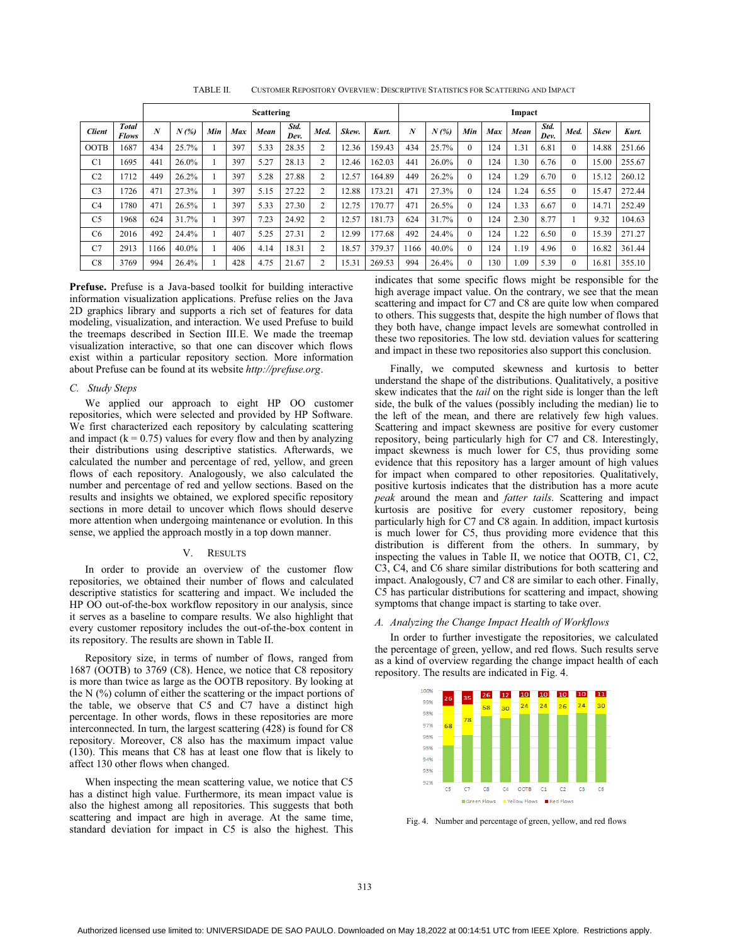|                |                       | <b>Scattering</b> |       |     |     |      |              | Impact |       |        |      |       |          |     |      |              |              |       |        |
|----------------|-----------------------|-------------------|-------|-----|-----|------|--------------|--------|-------|--------|------|-------|----------|-----|------|--------------|--------------|-------|--------|
| <b>Client</b>  | Total<br><b>Flows</b> | $\cal N$          | N(%)  | Min | Max | Mean | Std.<br>Dev. | Med.   | Skew. | Kurt.  | N    | N(%)  | Min      | Max | Mean | Std.<br>Dev. | Med.         | Skew  | Kurt.  |
| OOTB           | 1687                  | 434               | 25.7% |     | 397 | 5.33 | 28.35        | 2      | 2.36  | 159.43 | 434  | 25.7% | $\theta$ | 124 | 1.31 | 6.81         | $\mathbf{0}$ | 14.88 | 251.66 |
| C <sub>1</sub> | 1695                  | 441               | 26.0% |     | 397 | 5.27 | 28.13        | 2      | 12.46 | 162.03 | 441  | 26.0% | $\Omega$ | 124 | .30  | 6.76         | $\theta$     | 15.00 | 255.67 |
| C <sub>2</sub> | 1712                  | 449               | 26.2% |     | 397 | 5.28 | 27.88        | 2      | 12.57 | 164.89 | 449  | 26.2% | $\Omega$ | 124 | 1.29 | 6.70         | $\theta$     | 15.12 | 260.12 |
| C <sub>3</sub> | 1726                  | 471               | 27.3% |     | 397 | 5.15 | 27.22        | 2      | 12.88 | 173.21 | 471  | 27.3% | $\Omega$ | 24  | 1.24 | 6.55         | $\theta$     | 15.47 | 272.44 |
| C <sub>4</sub> | 1780                  | 471               | 26.5% |     | 397 | 5.33 | 27.30        | 2      | 2.75  | 170.77 | 471  | 26.5% | $\theta$ | 124 | .33  | 6.67         | $\Omega$     | 14.71 | 252.49 |
| C5             | 1968                  | 624               | 31.7% |     | 397 | 7.23 | 24.92        | 2      | 12.57 | 181.73 | 624  | 31.7% | $\Omega$ | 124 | 2.30 | 8.77         |              | 9.32  | 104.63 |
| C <sub>6</sub> | 2016                  | 492               | 24.4% |     | 407 | 5.25 | 27.31        | 2      | 12.99 | 177.68 | 492  | 24.4% | $\Omega$ | 124 | .22  | 6.50         | $\theta$     | 15.39 | 271.27 |
| C <sub>7</sub> | 2913                  | 1166              | 40.0% |     | 406 | 4.14 | 18.31        | 2      | 18.57 | 379.37 | 1166 | 40.0% | $\Omega$ | 124 | 1.19 | 4.96         | $\Omega$     | 16.82 | 361.44 |
| C8             | 3769                  | 994               | 26.4% |     | 428 | 4.75 | 21.67        |        | 15.31 | 269.53 | 994  | 26.4% | $\Omega$ | 130 | .09  | 5.39         | $\theta$     | 16.81 | 355.10 |

TABLE II. CUSTOMER REPOSITORY OVERVIEW: DESCRIPTIVE STATISTICS FOR SCATTERING AND IMPACT

**Prefuse.** Prefuse is a Java-based toolkit for building interactive information visualization applications. Prefuse relies on the Java 2D graphics library and supports a rich set of features for data modeling, visualization, and interaction. We used Prefuse to build the treemaps described in Section III.E. We made the treemap visualization interactive, so that one can discover which flows exist within a particular repository section. More information about Prefuse can be found at its website *http://prefuse.org*.

#### *C. Study Steps*

We applied our approach to eight HP OO customer repositories, which were selected and provided by HP Software. We first characterized each repository by calculating scattering and impact ( $k = 0.75$ ) values for every flow and then by analyzing their distributions using descriptive statistics. Afterwards, we calculated the number and percentage of red, yellow, and green flows of each repository. Analogously, we also calculated the number and percentage of red and yellow sections. Based on the results and insights we obtained, we explored specific repository sections in more detail to uncover which flows should deserve more attention when undergoing maintenance or evolution. In this sense, we applied the approach mostly in a top down manner.

#### V. RESULTS

 In order to provide an overview of the customer flow repositories, we obtained their number of flows and calculated descriptive statistics for scattering and impact. We included the HP OO out-of-the-box workflow repository in our analysis, since it serves as a baseline to compare results. We also highlight that every customer repository includes the out-of-the-box content in its repository. The results are shown in Table II.

 Repository size, in terms of number of flows, ranged from 1687 (OOTB) to 3769 (C8). Hence, we notice that C8 repository is more than twice as large as the OOTB repository. By looking at the N (%) column of either the scattering or the impact portions of the table, we observe that C5 and C7 have a distinct high percentage. In other words, flows in these repositories are more interconnected. In turn, the largest scattering (428) is found for C8 repository. Moreover, C8 also has the maximum impact value (130). This means that C8 has at least one flow that is likely to affect 130 other flows when changed.

 When inspecting the mean scattering value, we notice that C5 has a distinct high value. Furthermore, its mean impact value is also the highest among all repositories. This suggests that both scattering and impact are high in average. At the same time, standard deviation for impact in C5 is also the highest. This indicates that some specific flows might be responsible for the high average impact value. On the contrary, we see that the mean scattering and impact for C7 and C8 are quite low when compared to others. This suggests that, despite the high number of flows that they both have, change impact levels are somewhat controlled in these two repositories. The low std. deviation values for scattering and impact in these two repositories also support this conclusion.

 Finally, we computed skewness and kurtosis to better understand the shape of the distributions. Qualitatively, a positive skew indicates that the *tail* on the right side is longer than the left side, the bulk of the values (possibly including the median) lie to the left of the mean, and there are relatively few high values. Scattering and impact skewness are positive for every customer repository, being particularly high for C7 and C8. Interestingly, impact skewness is much lower for C5, thus providing some evidence that this repository has a larger amount of high values for impact when compared to other repositories. Qualitatively, positive kurtosis indicates that the distribution has a more acute *peak* around the mean and *fatter tails*. Scattering and impact kurtosis are positive for every customer repository, being particularly high for C7 and C8 again. In addition, impact kurtosis is much lower for C5, thus providing more evidence that this distribution is different from the others. In summary, by inspecting the values in Table II, we notice that OOTB, C1, C2, C3, C4, and C6 share similar distributions for both scattering and impact. Analogously, C7 and C8 are similar to each other. Finally, C5 has particular distributions for scattering and impact, showing symptoms that change impact is starting to take over.

## *A. Analyzing the Change Impact Health of Workflows*

 In order to further investigate the repositories, we calculated the percentage of green, yellow, and red flows. Such results serve as a kind of overview regarding the change impact health of each repository. The results are indicated in Fig. 4.



Fig. 4. Number and percentage of green, yellow, and red flows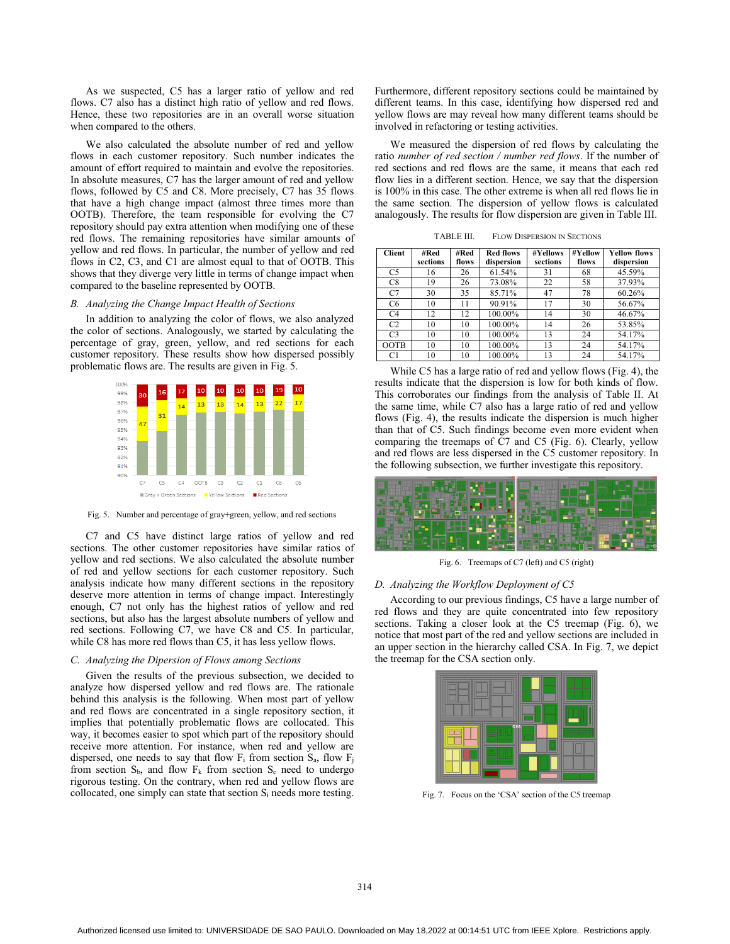As we suspected, C5 has a larger ratio of yellow and red flows. C7 also has a distinct high ratio of yellow and red flows. Hence, these two repositories are in an overall worse situation when compared to the others.

 We also calculated the absolute number of red and yellow flows in each customer repository. Such number indicates the amount of effort required to maintain and evolve the repositories. In absolute measures, C7 has the larger amount of red and yellow flows, followed by C5 and C8. More precisely, C7 has 35 flows that have a high change impact (almost three times more than OOTB). Therefore, the team responsible for evolving the C7 repository should pay extra attention when modifying one of these red flows. The remaining repositories have similar amounts of yellow and red flows. In particular, the number of yellow and red flows in C2, C3, and C1 are almost equal to that of OOTB. This shows that they diverge very little in terms of change impact when compared to the baseline represented by OOTB.

#### *B. Analyzing the Change Impact Health of Sections*

In addition to analyzing the color of flows, we also analyzed the color of sections. Analogously, we started by calculating the percentage of gray, green, yellow, and red sections for each customer repository. These results show how dispersed possibly problematic flows are. The results are given in Fig. 5.



Fig. 5. Number and percentage of gray+green, yellow, and red sections

C7 and C5 have distinct large ratios of yellow and red sections. The other customer repositories have similar ratios of yellow and red sections. We also calculated the absolute number of red and yellow sections for each customer repository. Such analysis indicate how many different sections in the repository deserve more attention in terms of change impact. Interestingly enough, C7 not only has the highest ratios of yellow and red sections, but also has the largest absolute numbers of yellow and red sections. Following C7, we have C8 and C5. In particular, while C8 has more red flows than C5, it has less yellow flows.

## *C. Analyzing the Dipersion of Flows among Sections*

Given the results of the previous subsection, we decided to analyze how dispersed yellow and red flows are. The rationale behind this analysis is the following. When most part of yellow and red flows are concentrated in a single repository section, it implies that potentially problematic flows are collocated. This way, it becomes easier to spot which part of the repository should receive more attention. For instance, when red and yellow are dispersed, one needs to say that flow  $F_i$  from section  $S_a$ , flow  $F_i$ from section  $S_b$ , and flow  $F_k$  from section  $S_c$  need to undergo rigorous testing. On the contrary, when red and yellow flows are collocated, one simply can state that section  $S_i$  needs more testing.

Furthermore, different repository sections could be maintained by different teams. In this case, identifying how dispersed red and yellow flows are may reveal how many different teams should be involved in refactoring or testing activities.

We measured the dispersion of red flows by calculating the ratio *number of red section / number red flows*. If the number of red sections and red flows are the same, it means that each red flow lies in a different section. Hence, we say that the dispersion is 100% in this case. The other extreme is when all red flows lie in the same section. The dispersion of yellow flows is calculated analogously. The results for flow dispersion are given in Table III.

| TABLE III. | <b>FLOW DISPERSION IN SECTIONS</b> |
|------------|------------------------------------|
|            |                                    |

| <b>Client</b>  | #Red<br>sections | #Red<br>flows | <b>Red flows</b><br>dispersion | #Yellows<br>sections | #Yellow<br>flows | <b>Yellow flows</b><br>dispersion |
|----------------|------------------|---------------|--------------------------------|----------------------|------------------|-----------------------------------|
| C <sub>5</sub> | 16               | 26            | 61.54%                         | 31                   | 68               | 45.59%                            |
| C8             | 19               | 26            | 73.08%                         | 22                   | 58               | 37.93%                            |
| C <sub>7</sub> | 30               | 35            | 85.71%                         | 47                   | 78               | 60.26%                            |
| C <sub>6</sub> | 10               | 11            | 90.91%                         | 17                   | 30               | 56.67%                            |
| C <sub>4</sub> | 12               | 12            | 100.00%                        | 14                   | 30               | 46.67%                            |
| C <sub>2</sub> | 10               | 10            | 100.00%                        | 14                   | 26               | 53.85%                            |
| C <sub>3</sub> | 10               | 10            | 100.00%                        | 13                   | 24               | 54.17%                            |
| <b>OOTB</b>    | 10               | 10            | 100.00%                        | 13                   | 24               | 54.17%                            |
| C <sub>1</sub> | 10               | 10            | 100.00%                        | 13                   | 24               | 54.17%                            |

While C5 has a large ratio of red and yellow flows (Fig. 4), the results indicate that the dispersion is low for both kinds of flow. This corroborates our findings from the analysis of Table II. At the same time, while C7 also has a large ratio of red and yellow flows (Fig. 4), the results indicate the dispersion is much higher than that of C5. Such findings become even more evident when comparing the treemaps of C7 and C5 (Fig. 6). Clearly, yellow and red flows are less dispersed in the C5 customer repository. In the following subsection, we further investigate this repository.



Fig. 6. Treemaps of C7 (left) and C5 (right)

## *D. Analyzing the Workflow Deployment of C5*

According to our previous findings, C5 have a large number of red flows and they are quite concentrated into few repository sections. Taking a closer look at the C5 treemap (Fig. 6), we notice that most part of the red and yellow sections are included in an upper section in the hierarchy called CSA. In Fig. 7, we depict the treemap for the CSA section only.



Fig. 7. Focus on the 'CSA' section of the C5 treemap